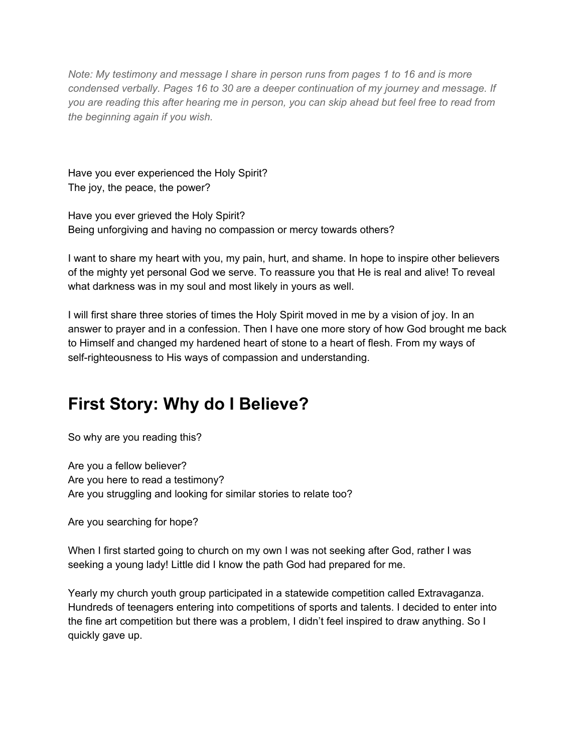*Note: My testimony and message I share in person runs from pages 1 to 16 and is more condensed verbally. Pages 16 to 30 are a deeper continuation of my journey and message. If* you are reading this after hearing me in person, you can skip ahead but feel free to read from *the beginning again if you wish.*

Have you ever experienced the Holy Spirit? The joy, the peace, the power?

Have you ever grieved the Holy Spirit? Being unforgiving and having no compassion or mercy towards others?

I want to share my heart with you, my pain, hurt, and shame. In hope to inspire other believers of the mighty yet personal God we serve. To reassure you that He is real and alive! To reveal what darkness was in my soul and most likely in yours as well.

I will first share three stories of times the Holy Spirit moved in me by a vision of joy. In an answer to prayer and in a confession. Then I have one more story of how God brought me back to Himself and changed my hardened heart of stone to a heart of flesh. From my ways of self-righteousness to His ways of compassion and understanding.

# **First Story: Why do I Believe?**

So why are you reading this?

Are you a fellow believer? Are you here to read a testimony? Are you struggling and looking for similar stories to relate too?

Are you searching for hope?

When I first started going to church on my own I was not seeking after God, rather I was seeking a young lady! Little did I know the path God had prepared for me.

Yearly my church youth group participated in a statewide competition called Extravaganza. Hundreds of teenagers entering into competitions of sports and talents. I decided to enter into the fine art competition but there was a problem, I didn't feel inspired to draw anything. So I quickly gave up.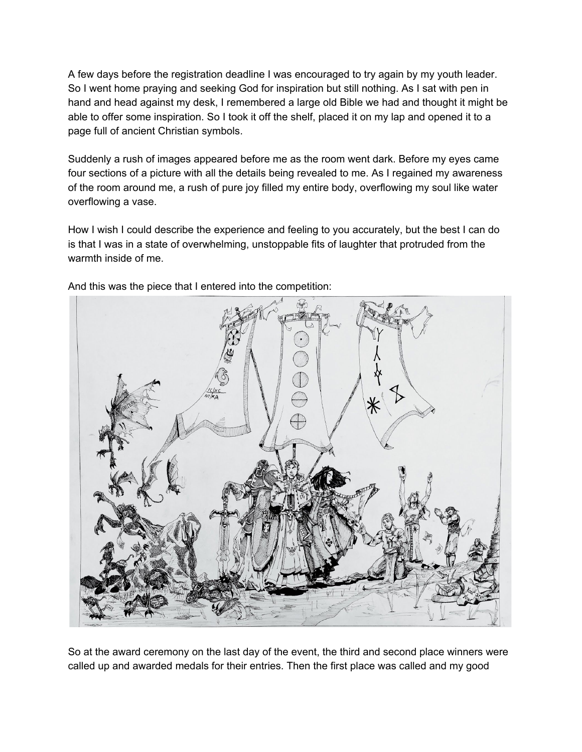A few days before the registration deadline I was encouraged to try again by my youth leader. So I went home praying and seeking God for inspiration but still nothing. As I sat with pen in hand and head against my desk, I remembered a large old Bible we had and thought it might be able to offer some inspiration. So I took it off the shelf, placed it on my lap and opened it to a page full of ancient Christian symbols.

Suddenly a rush of images appeared before me as the room went dark. Before my eyes came four sections of a picture with all the details being revealed to me. As I regained my awareness of the room around me, a rush of pure joy filled my entire body, overflowing my soul like water overflowing a vase.

How I wish I could describe the experience and feeling to you accurately, but the best I can do is that I was in a state of overwhelming, unstoppable fits of laughter that protruded from the warmth inside of me.



And this was the piece that I entered into the competition:

So at the award ceremony on the last day of the event, the third and second place winners were called up and awarded medals for their entries. Then the first place was called and my good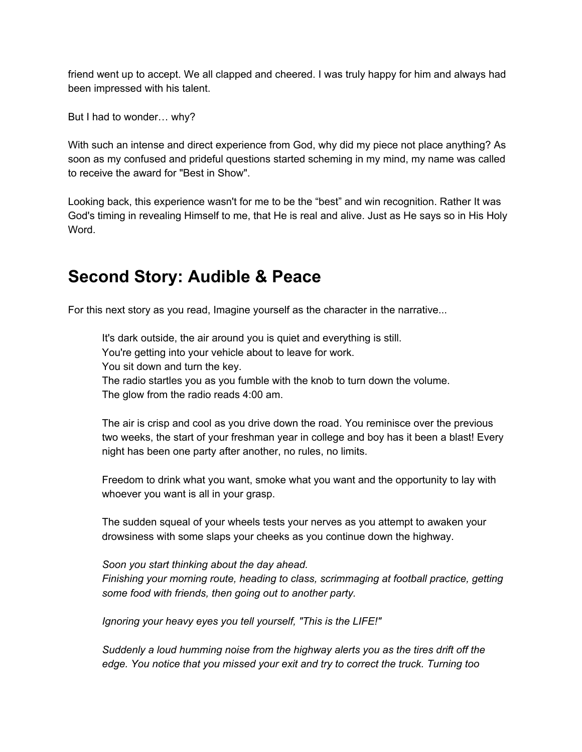friend went up to accept. We all clapped and cheered. I was truly happy for him and always had been impressed with his talent.

But I had to wonder… why?

With such an intense and direct experience from God, why did my piece not place anything? As soon as my confused and prideful questions started scheming in my mind, my name was called to receive the award for "Best in Show".

Looking back, this experience wasn't for me to be the "best" and win recognition. Rather It was God's timing in revealing Himself to me, that He is real and alive. Just as He says so in His Holy Word.

## **Second Story: Audible & Peace**

For this next story as you read, Imagine yourself as the character in the narrative...

It's dark outside, the air around you is quiet and everything is still. You're getting into your vehicle about to leave for work. You sit down and turn the key. The radio startles you as you fumble with the knob to turn down the volume.

The glow from the radio reads 4:00 am.

The air is crisp and cool as you drive down the road. You reminisce over the previous two weeks, the start of your freshman year in college and boy has it been a blast! Every night has been one party after another, no rules, no limits.

Freedom to drink what you want, smoke what you want and the opportunity to lay with whoever you want is all in your grasp.

The sudden squeal of your wheels tests your nerves as you attempt to awaken your drowsiness with some slaps your cheeks as you continue down the highway.

*Soon you start thinking about the day ahead. Finishing your morning route, heading to class, scrimmaging at football practice, getting some food with friends, then going out to another party.*

*Ignoring your heavy eyes you tell yourself, "This is the LIFE!"*

*Suddenly a loud humming noise from the highway alerts you as the tires drift off the edge. You notice that you missed your exit and try to correct the truck. Turning too*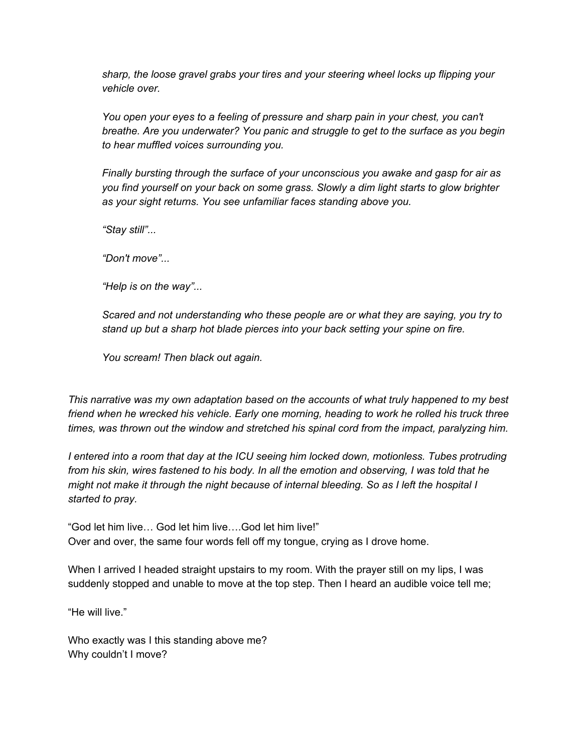*sharp, the loose gravel grabs your tires and your steering wheel locks up flipping your vehicle over.*

*You open your eyes to a feeling of pressure and sharp pain in your chest, you can't breathe. Are you underwater? You panic and struggle to get to the surface as you begin to hear muffled voices surrounding you.*

*Finally bursting through the surface of your unconscious you awake and gasp for air as you find yourself on your back on some grass. Slowly a dim light starts to glow brighter as your sight returns. You see unfamiliar faces standing above you.*

*"Stay still"...*

*"Don't move"...*

*"Help is on the way"...*

*Scared and not understanding who these people are or what they are saying, you try to stand up but a sharp hot blade pierces into your back setting your spine on fire.*

*You scream! Then black out again.*

*This narrative was my own adaptation based on the accounts of what truly happened to my best friend when he wrecked his vehicle. Early one morning, heading to work he rolled his truck three times, was thrown out the window and stretched his spinal cord from the impact, paralyzing him.*

*I entered into a room that day at the ICU seeing him locked down, motionless. Tubes protruding* from his skin, wires fastened to his body. In all the emotion and observing, I was told that he *might not make it through the night because of internal bleeding. So as I left the hospital I started to pray.*

"God let him live… God let him live….God let him live!" Over and over, the same four words fell off my tongue, crying as I drove home.

When I arrived I headed straight upstairs to my room. With the prayer still on my lips, I was suddenly stopped and unable to move at the top step. Then I heard an audible voice tell me;

"He will live."

Who exactly was I this standing above me? Why couldn't I move?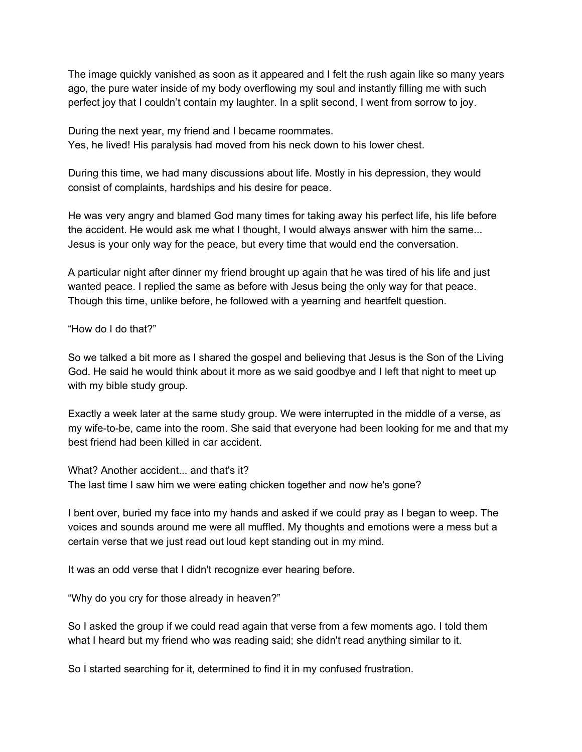The image quickly vanished as soon as it appeared and I felt the rush again like so many years ago, the pure water inside of my body overflowing my soul and instantly filling me with such perfect joy that I couldn't contain my laughter. In a split second, I went from sorrow to joy.

During the next year, my friend and I became roommates. Yes, he lived! His paralysis had moved from his neck down to his lower chest.

During this time, we had many discussions about life. Mostly in his depression, they would consist of complaints, hardships and his desire for peace.

He was very angry and blamed God many times for taking away his perfect life, his life before the accident. He would ask me what I thought, I would always answer with him the same... Jesus is your only way for the peace, but every time that would end the conversation.

A particular night after dinner my friend brought up again that he was tired of his life and just wanted peace. I replied the same as before with Jesus being the only way for that peace. Though this time, unlike before, he followed with a yearning and heartfelt question.

"How do I do that?"

So we talked a bit more as I shared the gospel and believing that Jesus is the Son of the Living God. He said he would think about it more as we said goodbye and I left that night to meet up with my bible study group.

Exactly a week later at the same study group. We were interrupted in the middle of a verse, as my wife-to-be, came into the room. She said that everyone had been looking for me and that my best friend had been killed in car accident.

What? Another accident... and that's it? The last time I saw him we were eating chicken together and now he's gone?

I bent over, buried my face into my hands and asked if we could pray as I began to weep. The voices and sounds around me were all muffled. My thoughts and emotions were a mess but a certain verse that we just read out loud kept standing out in my mind.

It was an odd verse that I didn't recognize ever hearing before.

"Why do you cry for those already in heaven?"

So I asked the group if we could read again that verse from a few moments ago. I told them what I heard but my friend who was reading said; she didn't read anything similar to it.

So I started searching for it, determined to find it in my confused frustration.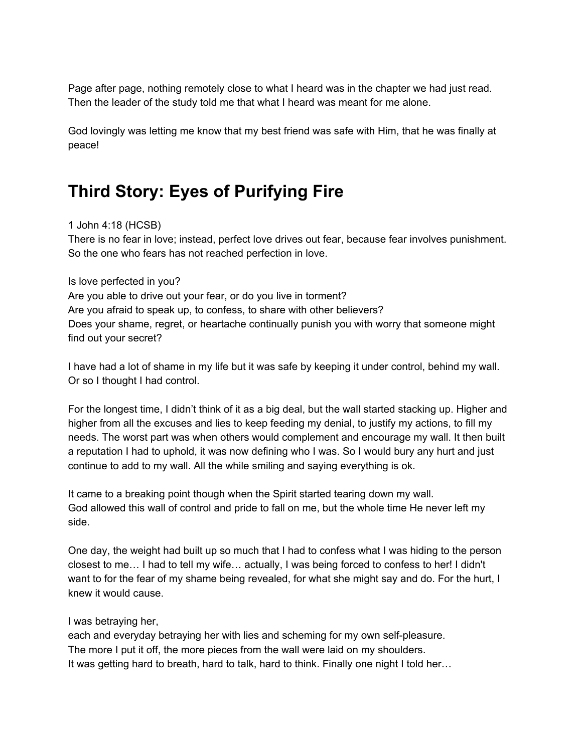Page after page, nothing remotely close to what I heard was in the chapter we had just read. Then the leader of the study told me that what I heard was meant for me alone.

God lovingly was letting me know that my best friend was safe with Him, that he was finally at peace!

# **Third Story: Eyes of Purifying Fire**

## 1 John 4:18 (HCSB)

There is no fear in love; instead, perfect love drives out fear, because fear involves punishment. So the one who fears has not reached perfection in love.

## Is love perfected in you?

Are you able to drive out your fear, or do you live in torment? Are you afraid to speak up, to confess, to share with other believers? Does your shame, regret, or heartache continually punish you with worry that someone might find out your secret?

I have had a lot of shame in my life but it was safe by keeping it under control, behind my wall. Or so I thought I had control.

For the longest time, I didn't think of it as a big deal, but the wall started stacking up. Higher and higher from all the excuses and lies to keep feeding my denial, to justify my actions, to fill my needs. The worst part was when others would complement and encourage my wall. It then built a reputation I had to uphold, it was now defining who I was. So I would bury any hurt and just continue to add to my wall. All the while smiling and saying everything is ok.

It came to a breaking point though when the Spirit started tearing down my wall. God allowed this wall of control and pride to fall on me, but the whole time He never left my side.

One day, the weight had built up so much that I had to confess what I was hiding to the person closest to me… I had to tell my wife… actually, I was being forced to confess to her! I didn't want to for the fear of my shame being revealed, for what she might say and do. For the hurt, I knew it would cause.

## I was betraying her,

each and everyday betraying her with lies and scheming for my own self-pleasure. The more I put it off, the more pieces from the wall were laid on my shoulders. It was getting hard to breath, hard to talk, hard to think. Finally one night I told her…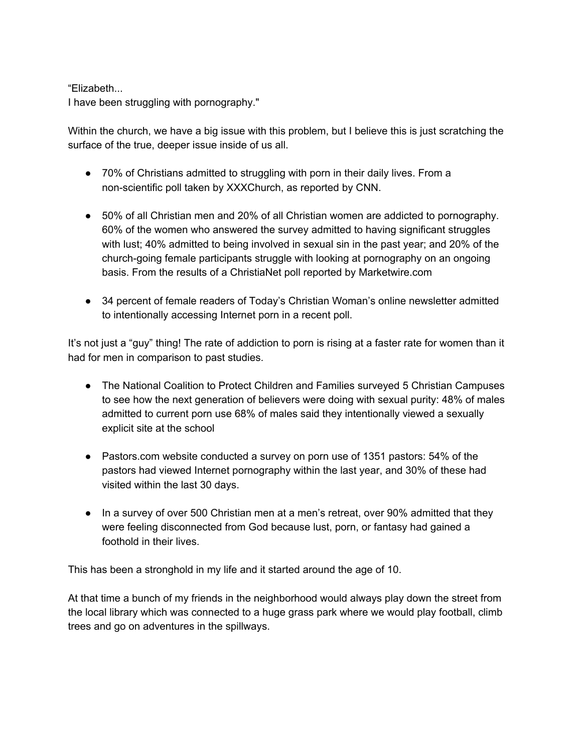## "Elizabeth...

I have been struggling with pornography."

Within the church, we have a big issue with this problem, but I believe this is just scratching the surface of the true, deeper issue inside of us all.

- 70% of Christians admitted to struggling with porn in their daily lives. From a non-scientific poll taken by XXXChurch, as reported by CNN.
- 50% of all Christian men and 20% of all Christian women are addicted to pornography. 60% of the women who answered the survey admitted to having significant struggles with lust; 40% admitted to being involved in sexual sin in the past year; and 20% of the church-going female participants struggle with looking at pornography on an ongoing basis. From the results of a ChristiaNet poll reported by Marketwire.com
- 34 percent of female readers of Today's Christian Woman's online newsletter admitted to intentionally accessing Internet porn in a recent poll.

It's not just a "guy" thing! The rate of addiction to porn is rising at a faster rate for women than it had for men in comparison to past studies.

- The National Coalition to Protect Children and Families surveyed 5 Christian Campuses to see how the next generation of believers were doing with sexual purity: 48% of males admitted to current porn use 68% of males said they intentionally viewed a sexually explicit site at the school
- Pastors.com website conducted a survey on porn use of 1351 pastors: 54% of the pastors had viewed Internet pornography within the last year, and 30% of these had visited within the last 30 days.
- In a survey of over 500 Christian men at a men's retreat, over 90% admitted that they were feeling disconnected from God because lust, porn, or fantasy had gained a foothold in their lives.

This has been a stronghold in my life and it started around the age of 10.

At that time a bunch of my friends in the neighborhood would always play down the street from the local library which was connected to a huge grass park where we would play football, climb trees and go on adventures in the spillways.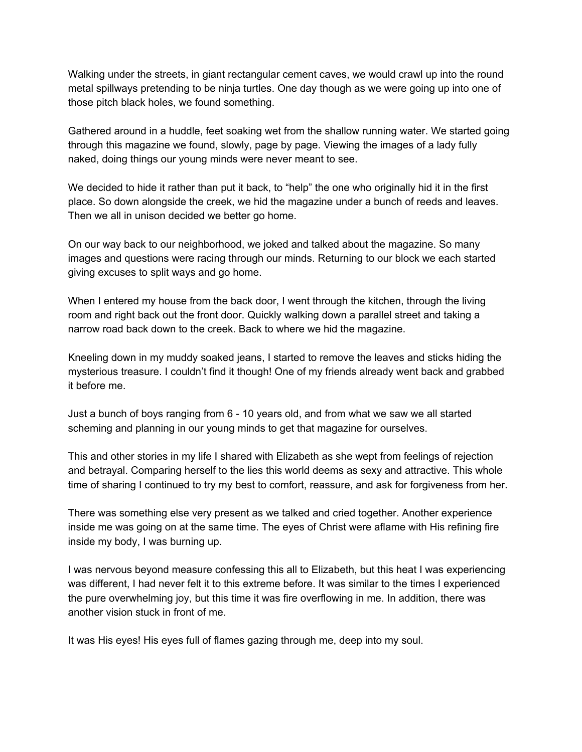Walking under the streets, in giant rectangular cement caves, we would crawl up into the round metal spillways pretending to be ninja turtles. One day though as we were going up into one of those pitch black holes, we found something.

Gathered around in a huddle, feet soaking wet from the shallow running water. We started going through this magazine we found, slowly, page by page. Viewing the images of a lady fully naked, doing things our young minds were never meant to see.

We decided to hide it rather than put it back, to "help" the one who originally hid it in the first place. So down alongside the creek, we hid the magazine under a bunch of reeds and leaves. Then we all in unison decided we better go home.

On our way back to our neighborhood, we joked and talked about the magazine. So many images and questions were racing through our minds. Returning to our block we each started giving excuses to split ways and go home.

When I entered my house from the back door, I went through the kitchen, through the living room and right back out the front door. Quickly walking down a parallel street and taking a narrow road back down to the creek. Back to where we hid the magazine.

Kneeling down in my muddy soaked jeans, I started to remove the leaves and sticks hiding the mysterious treasure. I couldn't find it though! One of my friends already went back and grabbed it before me.

Just a bunch of boys ranging from 6 - 10 years old, and from what we saw we all started scheming and planning in our young minds to get that magazine for ourselves.

This and other stories in my life I shared with Elizabeth as she wept from feelings of rejection and betrayal. Comparing herself to the lies this world deems as sexy and attractive. This whole time of sharing I continued to try my best to comfort, reassure, and ask for forgiveness from her.

There was something else very present as we talked and cried together. Another experience inside me was going on at the same time. The eyes of Christ were aflame with His refining fire inside my body, I was burning up.

I was nervous beyond measure confessing this all to Elizabeth, but this heat I was experiencing was different, I had never felt it to this extreme before. It was similar to the times I experienced the pure overwhelming joy, but this time it was fire overflowing in me. In addition, there was another vision stuck in front of me.

It was His eyes! His eyes full of flames gazing through me, deep into my soul.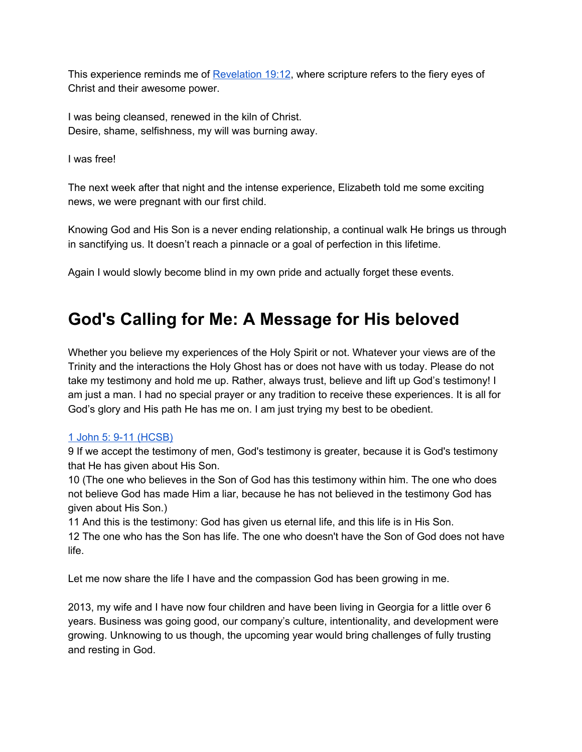This experience reminds me of [Revelation](https://www.blueletterbible.org/hcsb/rev/19/12/s_1186012) 19:12, where scripture refers to the fiery eyes of Christ and their awesome power.

I was being cleansed, renewed in the kiln of Christ. Desire, shame, selfishness, my will was burning away.

I was free!

The next week after that night and the intense experience, Elizabeth told me some exciting news, we were pregnant with our first child.

Knowing God and His Son is a never ending relationship, a continual walk He brings us through in sanctifying us. It doesn't reach a pinnacle or a goal of perfection in this lifetime.

Again I would slowly become blind in my own pride and actually forget these events.

## **God's Calling for Me: A Message for His beloved**

Whether you believe my experiences of the Holy Spirit or not. Whatever your views are of the Trinity and the interactions the Holy Ghost has or does not have with us today. Please do not take my testimony and hold me up. Rather, always trust, believe and lift up God's testimony! I am just a man. I had no special prayer or any tradition to receive these experiences. It is all for God's glory and His path He has me on. I am just trying my best to be obedient.

## 1 John 5: 9-11 [\(HCSB\)](https://www.blueletterbible.org/hcsb/1jo/5/9/s_1164009)

9 If we accept the testimony of men, God's testimony is greater, because it is God's testimony that He has given about His Son.

10 (The one who believes in the Son of God has this testimony within him. The one who does not believe God has made Him a liar, because he has not believed in the testimony God has given about His Son.)

11 And this is the testimony: God has given us eternal life, and this life is in His Son.

12 The one who has the Son has life. The one who doesn't have the Son of God does not have life.

Let me now share the life I have and the compassion God has been growing in me.

2013, my wife and I have now four children and have been living in Georgia for a little over 6 years. Business was going good, our company's culture, intentionality, and development were growing. Unknowing to us though, the upcoming year would bring challenges of fully trusting and resting in God.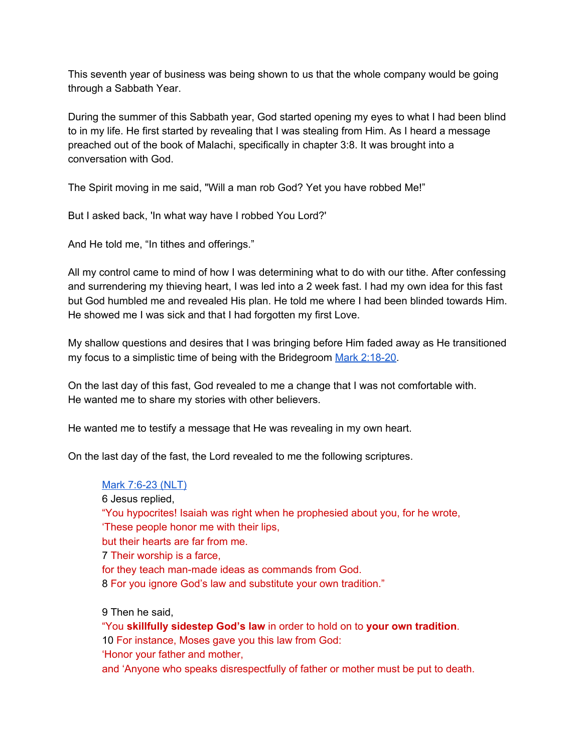This seventh year of business was being shown to us that the whole company would be going through a Sabbath Year.

During the summer of this Sabbath year, God started opening my eyes to what I had been blind to in my life. He first started by revealing that I was stealing from Him. As I heard a message preached out of the book of Malachi, specifically in chapter 3:8. It was brought into a conversation with God.

The Spirit moving in me said, "Will a man rob God? Yet you have robbed Me!"

But I asked back, 'In what way have I robbed You Lord?'

And He told me, "In tithes and offerings."

All my control came to mind of how I was determining what to do with our tithe. After confessing and surrendering my thieving heart, I was led into a 2 week fast. I had my own idea for this fast but God humbled me and revealed His plan. He told me where I had been blinded towards Him. He showed me I was sick and that I had forgotten my first Love.

My shallow questions and desires that I was bringing before Him faded away as He transitioned my focus to a simplistic time of being with the Bridegroom Mark [2:18-20](https://www.blueletterbible.org/hcsb/mar/2/18/s_959018).

On the last day of this fast, God revealed to me a change that I was not comfortable with. He wanted me to share my stories with other believers.

He wanted me to testify a message that He was revealing in my own heart.

On the last day of the fast, the Lord revealed to me the following scriptures.

## Mark [7:6-23](https://www.blueletterbible.org/nlt/mar/7/6/s_964006) (NLT)

6 Jesus replied, "You hypocrites! Isaiah was right when he prophesied about you, for he wrote, 'These people honor me with their lips, but their hearts are far from me. 7 Their worship is a farce, for they teach man-made ideas as commands from God. 8 For you ignore God's law and substitute your own tradition." 9 Then he said,

"You **skillfully sidestep God's law** in order to hold on to **your own tradition**. 10 For instance, Moses gave you this law from God: 'Honor your father and mother, and 'Anyone who speaks disrespectfully of father or mother must be put to death.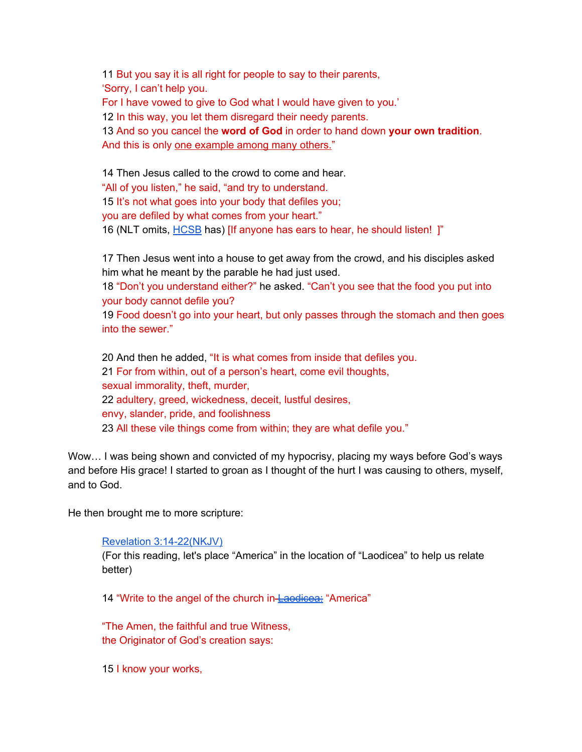11 But you say it is all right for people to say to their parents, 'Sorry, I can't help you. For I have vowed to give to God what I would have given to you.' 12 In this way, you let them disregard their needy parents. 13 And so you cancel the **word of God** in order to hand down **your own tradition**. And this is only one example among many others." 14 Then Jesus called to the crowd to come and hear. "All of you listen," he said, "and try to understand. 15 It's not what goes into your body that defiles you;

you are defiled by what comes from your heart."

16 (NLT omits, [HCSB](https://www.blueletterbible.org/hcsb/mar/7/16/s_964016) has) [If anyone has ears to hear, he should listen! ]"

17 Then Jesus went into a house to get away from the crowd, and his disciples asked him what he meant by the parable he had just used.

18 "Don't you understand either?" he asked. "Can't you see that the food you put into your body cannot defile you?

19 Food doesn't go into your heart, but only passes through the stomach and then goes into the sewer."

 And then he added, "It is what comes from inside that defiles you. For from within, out of a person's heart, come evil thoughts, sexual immorality, theft, murder, adultery, greed, wickedness, deceit, lustful desires, envy, slander, pride, and foolishness All these vile things come from within; they are what defile you."

Wow… I was being shown and convicted of my hypocrisy, placing my ways before God's ways and before His grace! I started to groan as I thought of the hurt I was causing to others, myself, and to God.

He then brought me to more scripture:

Revelation [3:14-22\(NKJV\)](https://www.blueletterbible.org/nkjv/rev/3/14/s_1170014)

(For this reading, let's place "America" in the location of "Laodicea" to help us relate better)

14 "Write to the angel of the church in-[Laodicea:](https://en.wikipedia.org/wiki/Laodicea_on_the_Lycus#History) "America"

"The Amen, the faithful and true Witness, the Originator of God's creation says:

15 I know your works,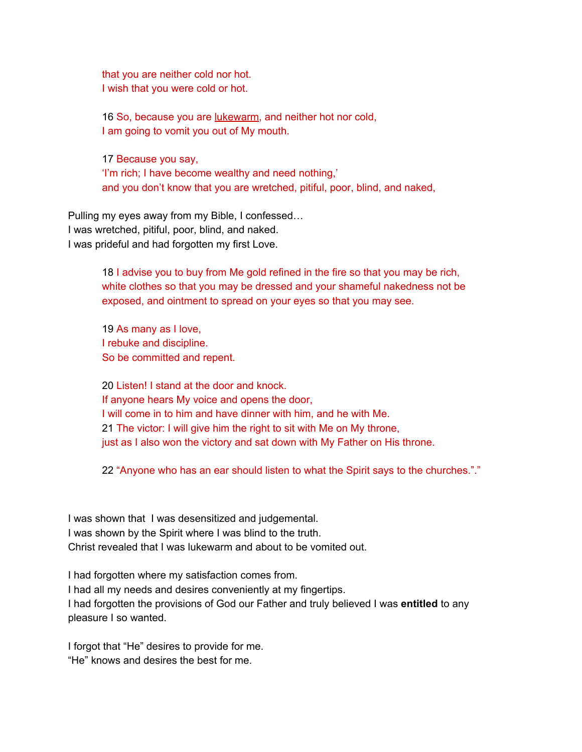that you are neither cold nor hot. I wish that you were cold or hot.

16 So, because you are lukewarm, and neither hot nor cold, I am going to vomit you out of My mouth.

17 Because you say, 'I'm rich; I have become wealthy and need nothing,' and you don't know that you are wretched, pitiful, poor, blind, and naked,

Pulling my eyes away from my Bible, I confessed… I was wretched, pitiful, poor, blind, and naked. I was prideful and had forgotten my first Love.

> 18 I advise you to buy from Me gold refined in the fire so that you may be rich, white clothes so that you may be dressed and your shameful nakedness not be exposed, and ointment to spread on your eyes so that you may see.

19 As many as I love, I rebuke and discipline. So be committed and repent.

20 Listen! I stand at the door and knock. If anyone hears My voice and opens the door, I will come in to him and have dinner with him, and he with Me. 21 The victor: I will give him the right to sit with Me on My throne, just as I also won the victory and sat down with My Father on His throne.

22 "Anyone who has an ear should listen to what the Spirit says to the churches."."

I was shown that I was desensitized and judgemental. I was shown by the Spirit where I was blind to the truth. Christ revealed that I was lukewarm and about to be vomited out.

I had forgotten where my satisfaction comes from. I had all my needs and desires conveniently at my fingertips. I had forgotten the provisions of God our Father and truly believed I was **entitled** to any pleasure I so wanted.

I forgot that "He" desires to provide for me. "He" knows and desires the best for me.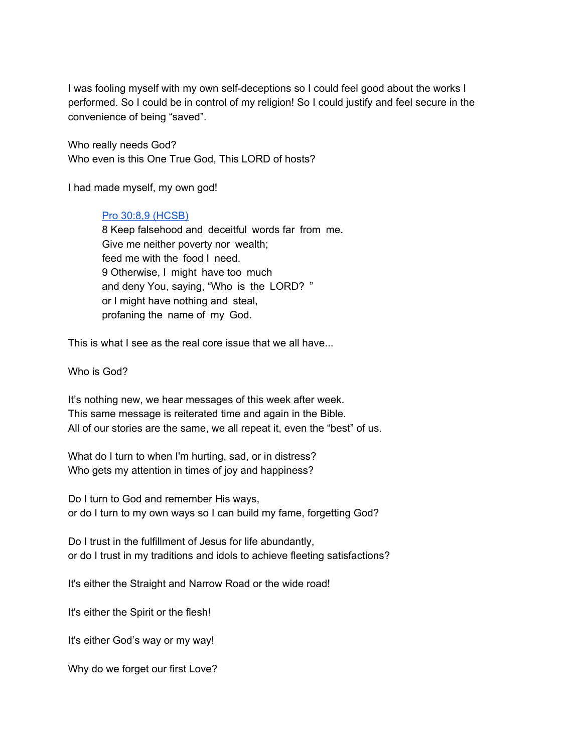I was fooling myself with my own self-deceptions so I could feel good about the works I performed. So I could be in control of my religion! So I could justify and feel secure in the convenience of being "saved".

Who really needs God? Who even is this One True God, This LORD of hosts?

I had made myself, my own god!

## Pro 30:8,9 [\(HCSB\)](https://www.blueletterbible.org/hcsb/pro/30/8/s_658008)

8 Keep falsehood and deceitful words far from me. Give me neither poverty nor wealth; feed me with the food I need. 9 Otherwise, I might have too much and deny You, saying, "Who is the LORD? " or I might have nothing and steal, profaning the name of my God.

This is what I see as the real core issue that we all have...

Who is God?

It's nothing new, we hear messages of this week after week. This same message is reiterated time and again in the Bible. All of our stories are the same, we all repeat it, even the "best" of us.

What do I turn to when I'm hurting, sad, or in distress? Who gets my attention in times of joy and happiness?

Do I turn to God and remember His ways, or do I turn to my own ways so I can build my fame, forgetting God?

Do I trust in the fulfillment of Jesus for life abundantly, or do I trust in my traditions and idols to achieve fleeting satisfactions?

It's either the Straight and Narrow Road or the wide road!

It's either the Spirit or the flesh!

It's either God's way or my way!

Why do we forget our first Love?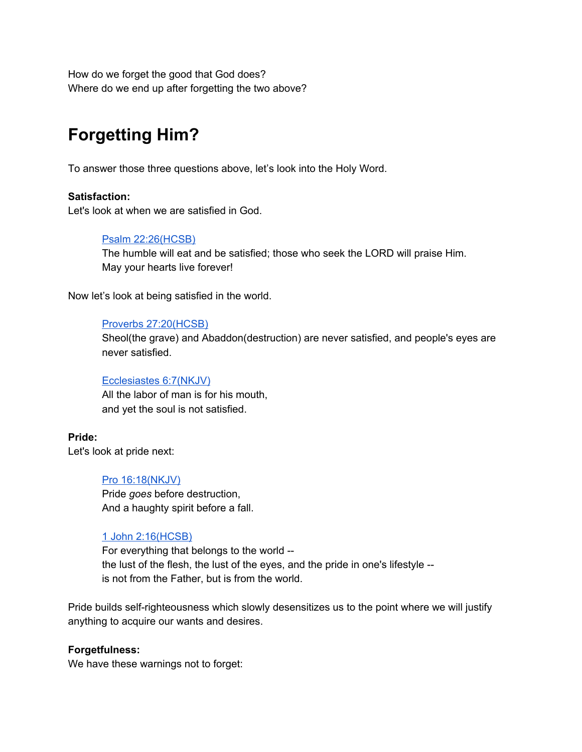How do we forget the good that God does? Where do we end up after forgetting the two above?

# **Forgetting Him?**

To answer those three questions above, let's look into the Holy Word.

## **Satisfaction:**

Let's look at when we are satisfied in God.

## Psalm [22:26\(HCSB\)](https://www.blueletterbible.org/hcsb/psa/22/26/s_500026)

The humble will eat and be satisfied; those who seek the LORD will praise Him. May your hearts live forever!

Now let's look at being satisfied in the world.

## Proverbs [27:20\(HCSB\)](https://www.blueletterbible.org/nkjv/pro/27/20/s_655020)

Sheol(the grave) and Abaddon(destruction) are never satisfied, and people's eyes are never satisfied.

## [Ecclesiastes](https://www.blueletterbible.org/nkjv/ecc/6/7/s_665007) 6:7(NKJV)

All the labor of man is for his mouth, and yet the soul is not satisfied.

**Pride:**

Let's look at pride next:

#### Pro [16:18\(NKJV\)](https://www.blueletterbible.org/nkjv/pro/16/18/s_644018)

Pride *goes* before destruction, And a haughty spirit before a fall.

## 1 John [2:16\(HCSB\)](https://www.blueletterbible.org/hcsb/1jo/2/16/s_1161016)

For everything that belongs to the world - the lust of the flesh, the lust of the eyes, and the pride in one's lifestyle - is not from the Father, but is from the world.

Pride builds self-righteousness which slowly desensitizes us to the point where we will justify anything to acquire our wants and desires.

## **Forgetfulness:**

We have these warnings not to forget: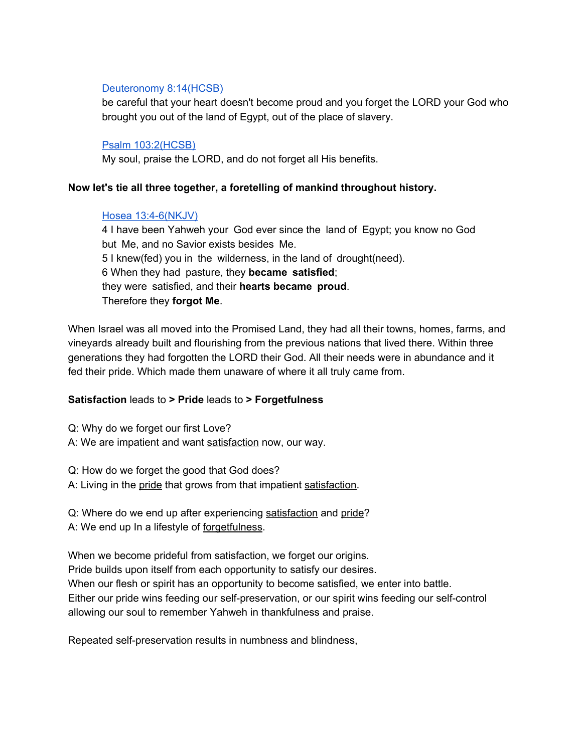## [Deuteronomy](https://www.blueletterbible.org/hcsb/deu/8/14/s_161014) 8:14(HCSB)

be careful that your heart doesn't become proud and you forget the LORD your God who brought you out of the land of Egypt, out of the place of slavery.

## Psalm [103:2\(HCSB\)](https://www.blueletterbible.org/hcsb/psa/103/2/s_581002)

My soul, praise the LORD, and do not forget all His benefits.

## **Now let's tie all three together, a foretelling of mankind throughout history.**

## Hosea [13:4-6\(NKJV\)](https://www.blueletterbible.org/nkjv/hos/13/4/s_875004)

4 I have been Yahweh your God ever since the land of Egypt; you know no God but Me, and no Savior exists besides Me. 5 I knew(fed) you in the wilderness, in the land of drought(need). 6 When they had pasture, they **became satisfied**; they were satisfied, and their **hearts became proud**. Therefore they **forgot Me**.

When Israel was all moved into the Promised Land, they had all their towns, homes, farms, and vineyards already built and flourishing from the previous nations that lived there. Within three generations they had forgotten the LORD their God. All their needs were in abundance and it fed their pride. Which made them unaware of where it all truly came from.

## **Satisfaction** leads to **> Pride** leads to **> Forgetfulness**

Q: Why do we forget our first Love? A: We are impatient and want satisfaction now, our way.

Q: How do we forget the good that God does?

A: Living in the pride that grows from that impatient satisfaction.

Q: Where do we end up after experiencing satisfaction and pride? A: We end up In a lifestyle of forgetfulness.

When we become prideful from satisfaction, we forget our origins. Pride builds upon itself from each opportunity to satisfy our desires. When our flesh or spirit has an opportunity to become satisfied, we enter into battle. Either our pride wins feeding our self-preservation, or our spirit wins feeding our self-control allowing our soul to remember Yahweh in thankfulness and praise.

Repeated self-preservation results in numbness and blindness,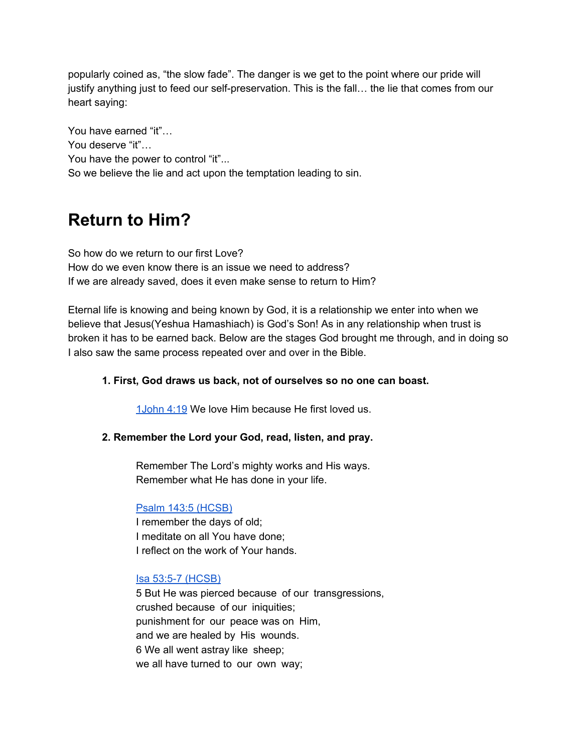popularly coined as, "the slow fade". The danger is we get to the point where our pride will justify anything just to feed our self-preservation. This is the fall… the lie that comes from our heart saying:

You have earned "it"… You deserve "it"… You have the power to control "it"... So we believe the lie and act upon the temptation leading to sin.

# **Return to Him?**

So how do we return to our first Love? How do we even know there is an issue we need to address? If we are already saved, does it even make sense to return to Him?

Eternal life is knowing and being known by God, it is a relationship we enter into when we believe that Jesus(Yeshua Hamashiach) is God's Son! As in any relationship when trust is broken it has to be earned back. Below are the stages God brought me through, and in doing so I also saw the same process repeated over and over in the Bible.

## **1. First, God draws us back, not of ourselves so no one can boast.**

[1John](https://www.blueletterbible.org/nkjv/1jo/4/19/s_1163019) 4:19 We love Him because He first loved us.

## **2. Remember the Lord your God, read, listen, and pray.**

Remember The Lord's mighty works and His ways. Remember what He has done in your life.

#### Psalm 143:5 [\(HCSB\)](https://www.blueletterbible.org/hcsb/psa/143/5/s_621005)

I remember the days of old; I meditate on all You have done; I reflect on the work of Your hands.

#### Isa 53:5-7 [\(HCSB\)](https://www.blueletterbible.org/hcsb/isa/53/5/s_732005)

5 But He was pierced because of our transgressions, crushed because of our iniquities; punishment for our peace was on Him, and we are healed by His wounds. 6 We all went astray like sheep; we all have turned to our own way;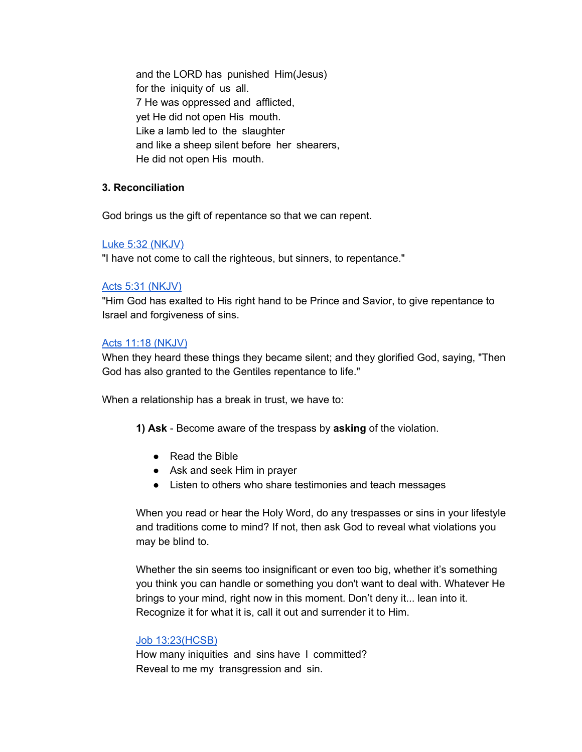and the LORD has punished Him(Jesus) for the iniquity of us all. 7 He was oppressed and afflicted, yet He did not open His mouth. Like a lamb led to the slaughter and like a sheep silent before her shearers, He did not open His mouth.

## **3. Reconciliation**

God brings us the gift of repentance so that we can repent.

#### Luke 5:32 [\(NKJV\)](https://www.blueletterbible.org/nkjv/luk/5/32/s_978032)

"I have not come to call the righteous, but sinners, to repentance."

#### Acts 5:31 [\(NKJV\)](https://www.blueletterbible.org/nkjv/act/5/31/s_1023031)

"Him God has exalted to His right hand to be Prince and Savior, to give repentance to Israel and forgiveness of sins.

#### Acts 11:18 [\(NKJV\)](https://www.blueletterbible.org/nkjv/act/11/18/s_1029018)

When they heard these things they became silent; and they glorified God, saying, "Then God has also granted to the Gentiles repentance to life."

When a relationship has a break in trust, we have to:

- **1) Ask** Become aware of the trespass by **asking** of the violation.
	- Read the Bible
	- Ask and seek Him in prayer
	- Listen to others who share testimonies and teach messages

When you read or hear the Holy Word, do any trespasses or sins in your lifestyle and traditions come to mind? If not, then ask God to reveal what violations you may be blind to.

Whether the sin seems too insignificant or even too big, whether it's something you think you can handle or something you don't want to deal with. Whatever He brings to your mind, right now in this moment. Don't deny it... lean into it. Recognize it for what it is, call it out and surrender it to Him.

## Job [13:23\(HCSB\)](https://www.blueletterbible.org/hcsb/job/13/23/s_449023)

How many iniquities and sins have I committed? Reveal to me my transgression and sin.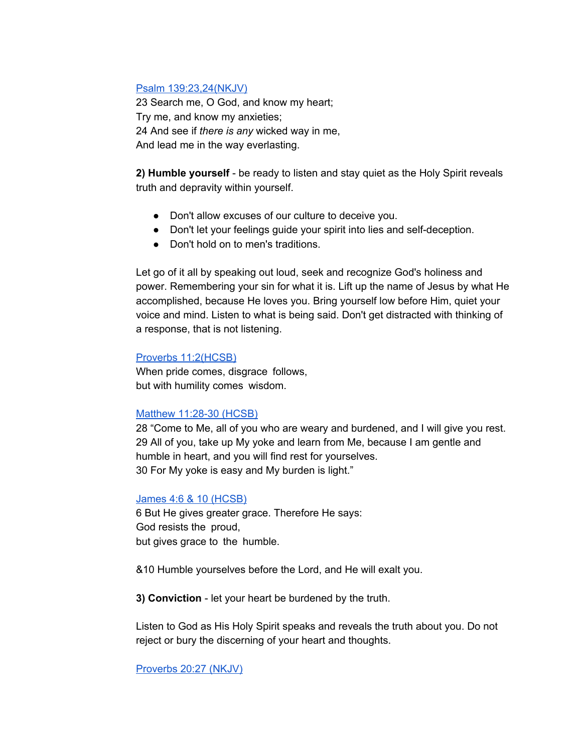#### Psalm [139:23,24\(NKJV\)](https://www.blueletterbible.org/nkjv/psa/139/23/s_617024)

23 Search me, O God, and know my heart; Try me, and know my anxieties; 24 And see if *there is any* wicked way in me, And lead me in the way everlasting.

**2) Humble yourself** - be ready to listen and stay quiet as the Holy Spirit reveals truth and depravity within yourself.

- Don't allow excuses of our culture to deceive you.
- Don't let your feelings guide your spirit into lies and self-deception.
- Don't hold on to men's traditions.

Let go of it all by speaking out loud, seek and recognize God's holiness and power. Remembering your sin for what it is. Lift up the name of Jesus by what He accomplished, because He loves you. Bring yourself low before Him, quiet your voice and mind. Listen to what is being said. Don't get distracted with thinking of a response, that is not listening.

## Proverbs [11:2\(HCSB\)](https://www.blueletterbible.org/hcsb/pro/11/2/s_639002)

When pride comes, disgrace follows, but with humility comes wisdom.

## Matthew [11:28-30](https://www.blueletterbible.org/hcsb/mat/11/29/s_940029) (HCSB)

 "Come to Me, all of you who are weary and burdened, and I will give you rest. All of you, take up My yoke and learn from Me, because I am gentle and humble in heart, and you will find rest for yourselves. For My yoke is easy and My burden is light."

## James 4:6 & 10 [\(HCSB\)](https://www.blueletterbible.org/hcsb/jas/4/6/s_1150006)

6 But He gives greater grace. Therefore He says: God resists the proud, but gives grace to the humble.

&10 Humble yourselves before the Lord, and He will exalt you.

**3) Conviction** - let your heart be burdened by the truth.

Listen to God as His Holy Spirit speaks and reveals the truth about you. Do not reject or bury the discerning of your heart and thoughts.

[Proverbs](https://www.blueletterbible.org/nkjv/pro/20/27/s_648027) 20:27 (NKJV)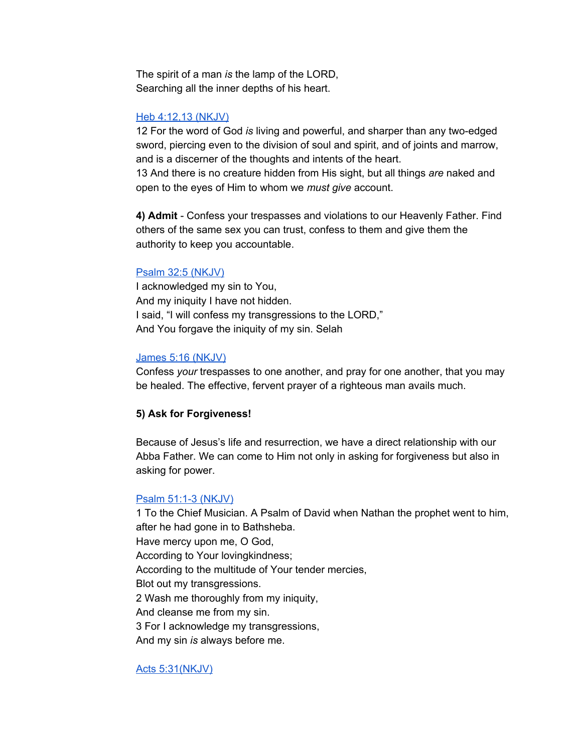The spirit of a man *is* the lamp of the LORD, Searching all the inner depths of his heart.

#### Heb [4:12,13](https://www.blueletterbible.org/nkjv/heb/4/12/s_1137012) (NKJV)

12 For the word of God *is* living and powerful, and sharper than any two-edged sword, piercing even to the division of soul and spirit, and of joints and marrow, and is a discerner of the thoughts and intents of the heart.

13 And there is no creature hidden from His sight, but all things *are* naked and open to the eyes of Him to whom we *must give* account.

**4) Admit** - Confess your trespasses and violations to our Heavenly Father. Find others of the same sex you can trust, confess to them and give them the authority to keep you accountable.

#### Psalm 32:5 [\(NKJV\)](https://www.blueletterbible.org/nkjv/psa/32/5/s_510005)

I acknowledged my sin to You, And my iniquity I have not hidden. I said, "I will confess my transgressions to the LORD," And You forgave the iniquity of my sin. Selah

#### James 5:16 [\(NKJV\)](https://www.blueletterbible.org/nkjv/jas/5/16/s_1151016)

Confess *your* trespasses to one another, and pray for one another, that you may be healed. The effective, fervent prayer of a righteous man avails much.

#### **5) Ask for Forgiveness!**

Because of Jesus's life and resurrection, we have a direct relationship with our Abba Father. We can come to Him not only in asking for forgiveness but also in asking for power.

#### Psalm 51:1-3 [\(NKJV\)](https://www.blueletterbible.org/nkjv/psa/51/1/s_529001)

1 To the Chief Musician. A Psalm of David when Nathan the prophet went to him, after he had gone in to Bathsheba. Have mercy upon me, O God, According to Your lovingkindness; According to the multitude of Your tender mercies, Blot out my transgressions. 2 Wash me thoroughly from my iniquity, And cleanse me from my sin. 3 For I acknowledge my transgressions, And my sin *is* always before me.

#### Acts [5:31\(NKJV\)](https://www.blueletterbible.org/nkjv/act/5/31/s_1023031)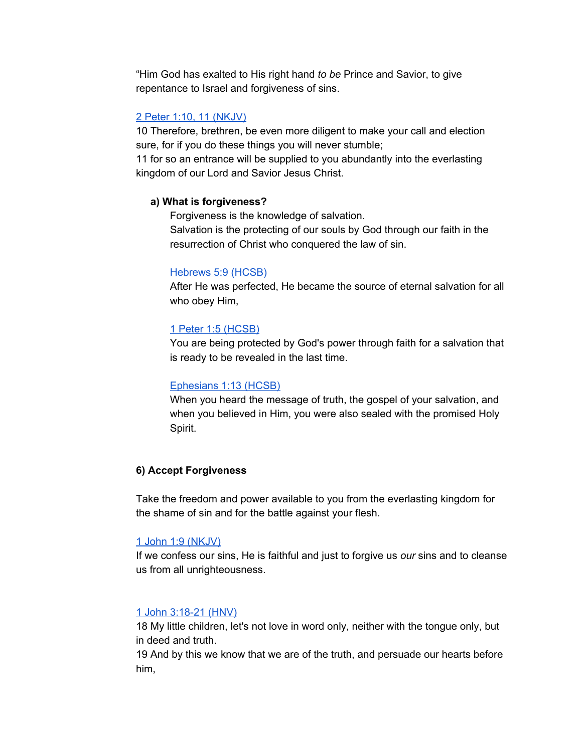"Him God has exalted to His right hand *to be* Prince and Savior, to give repentance to Israel and forgiveness of sins.

## 2 Peter 1:10, 11 [\(NKJV\)](https://www.blueletterbible.org/nkjv/2pe/1/10/s_1157010)

10 Therefore, brethren, be even more diligent to make your call and election sure, for if you do these things you will never stumble;

11 for so an entrance will be supplied to you abundantly into the everlasting kingdom of our Lord and Savior Jesus Christ.

## **a) What is forgiveness?**

Forgiveness is the knowledge of salvation.

Salvation is the protecting of our souls by God through our faith in the resurrection of Christ who conquered the law of sin.

## [Hebrews](https://www.blueletterbible.org/hcsb/heb/5/9/s_1138009) 5:9 (HCSB)

After He was perfected, He became the source of eternal salvation for all who obey Him,

## 1 Peter 1:5 [\(HCSB\)](https://www.blueletterbible.org/hcsb/1pe/1/5/s_1152005)

You are being protected by God's power through faith for a salvation that is ready to be revealed in the last time.

## [Ephesians](https://www.blueletterbible.org/hcsb/eph/1/13/s_1098013) 1:13 (HCSB)

When you heard the message of truth, the gospel of your salvation, and when you believed in Him, you were also sealed with the promised Holy Spirit.

## **6) Accept Forgiveness**

Take the freedom and power available to you from the everlasting kingdom for the shame of sin and for the battle against your flesh.

#### 1 John 1:9 [\(NKJV\)](https://www.blueletterbible.org/nkjv/1jo/1/9/s_1160009)

If we confess our sins, He is faithful and just to forgive us *our* sins and to cleanse us from all unrighteousness.

## 1 John [3:18-21](https://www.blueletterbible.org/hnv/1jo/3/18/s_1162019) (HNV)

18 My little children, let's not love in word only, neither with the tongue only, but in deed and truth.

19 And by this we know that we are of the truth, and persuade our hearts before him,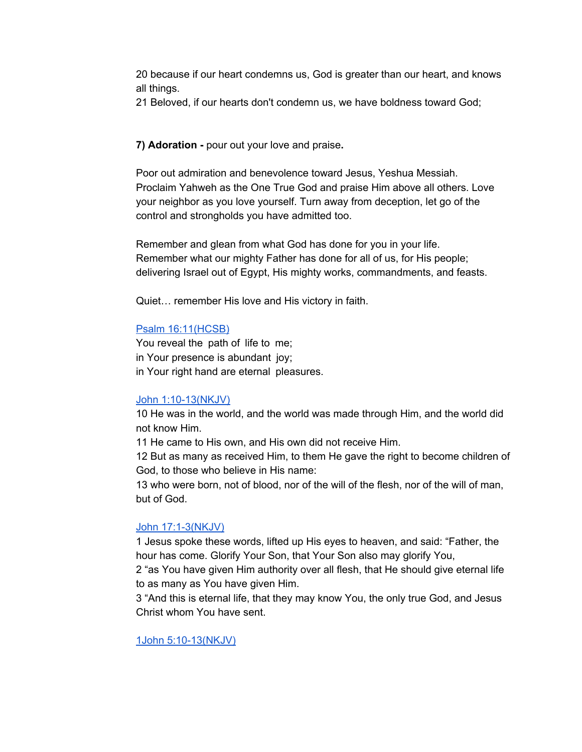20 because if our heart condemns us, God is greater than our heart, and knows all things.

21 Beloved, if our hearts don't condemn us, we have boldness toward God;

#### **7) Adoration -** pour out your love and praise**.**

Poor out admiration and benevolence toward Jesus, Yeshua Messiah. Proclaim Yahweh as the One True God and praise Him above all others. Love your neighbor as you love yourself. Turn away from deception, let go of the control and strongholds you have admitted too.

Remember and glean from what God has done for you in your life. Remember what our mighty Father has done for all of us, for His people; delivering Israel out of Egypt, His mighty works, commandments, and feasts.

Quiet… remember His love and His victory in faith.

#### Psalm [16:11\(HCSB\)](https://www.blueletterbible.org/hcsb/psa/16/11/s_494011)

You reveal the path of life to me; in Your presence is abundant joy; in Your right hand are eternal pleasures.

#### John [1:10-13\(NKJV\)](https://www.blueletterbible.org/nkjv/jhn/1/10/s_998010)

10 He was in the world, and the world was made through Him, and the world did not know Him.

11 He came to His own, and His own did not receive Him.

12 But as many as received Him, to them He gave the right to become children of God, to those who believe in His name:

13 who were born, not of blood, nor of the will of the flesh, nor of the will of man, but of God.

#### John [17:1-3\(NKJV\)](https://www.blueletterbible.org/nkjv/jhn/17/1/s_1014001)

1 Jesus spoke these words, lifted up His eyes to heaven, and said: "Father, the hour has come. Glorify Your Son, that Your Son also may glorify You,

2 "as You have given Him authority over all flesh, that He should give eternal life to as many as You have given Him.

3 "And this is eternal life, that they may know You, the only true God, and Jesus Christ whom You have sent.

#### 1John [5:10-13\(NKJV\)](https://www.blueletterbible.org/nkjv/1jo/5/10/s_1164010)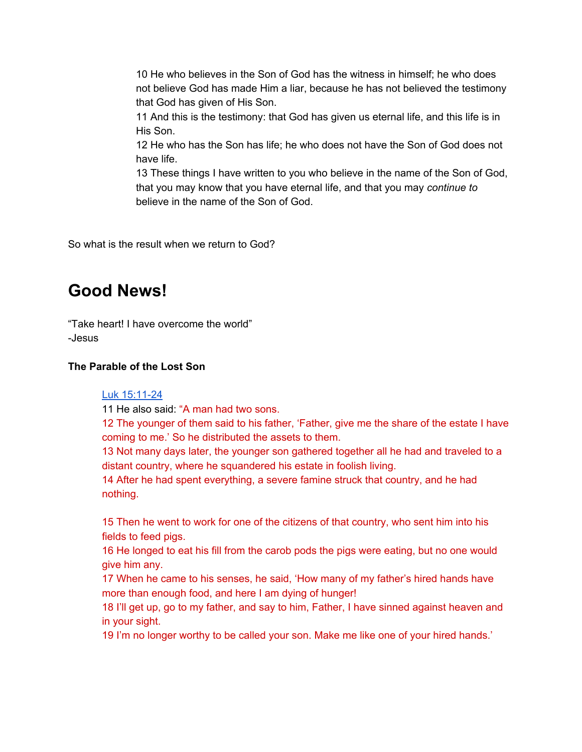10 He who believes in the Son of God has the witness in himself; he who does not believe God has made Him a liar, because he has not believed the testimony that God has given of His Son.

11 And this is the testimony: that God has given us eternal life, and this life is in His Son.

12 He who has the Son has life; he who does not have the Son of God does not have life.

13 These things I have written to you who believe in the name of the Son of God, that you may know that you have eternal life, and that you may *continue to* believe in the name of the Son of God.

So what is the result when we return to God?

## **Good News!**

"Take heart! I have overcome the world" -Jesus

## **The Parable of the Lost Son**

## Luk [15:11-24](https://www.blueletterbible.org/hcsb/luk/15/11/s_988011)

11 He also said: "A man had two sons.

12 The younger of them said to his father, 'Father, give me the share of the estate I have coming to me.' So he distributed the assets to them.

13 Not many days later, the younger son gathered together all he had and traveled to a distant country, where he squandered his estate in foolish living.

14 After he had spent everything, a severe famine struck that country, and he had nothing.

15 Then he went to work for one of the citizens of that country, who sent him into his fields to feed pigs.

16 He longed to eat his fill from the carob pods the pigs were eating, but no one would give him any.

17 When he came to his senses, he said, 'How many of my father's hired hands have more than enough food, and here I am dying of hunger!

18 I'll get up, go to my father, and say to him, Father, I have sinned against heaven and in your sight.

19 I'm no longer worthy to be called your son. Make me like one of your hired hands.'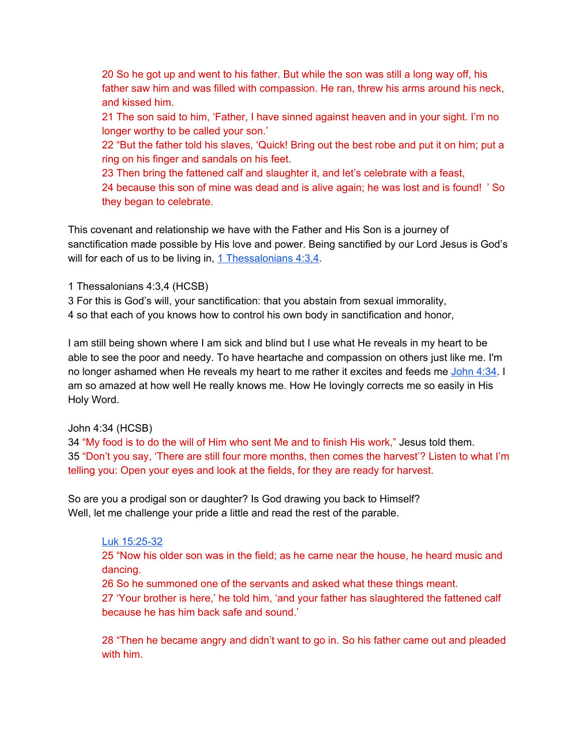20 So he got up and went to his father. But while the son was still a long way off, his father saw him and was filled with compassion. He ran, threw his arms around his neck, and kissed him.

21 The son said to him, 'Father, I have sinned against heaven and in your sight. I'm no longer worthy to be called your son.'

22 "But the father told his slaves, 'Quick! Bring out the best robe and put it on him; put a ring on his finger and sandals on his feet.

23 Then bring the fattened calf and slaughter it, and let's celebrate with a feast, 24 because this son of mine was dead and is alive again; he was lost and is found! ' So they began to celebrate.

This covenant and relationship we have with the Father and His Son is a journey of sanctification made possible by His love and power. Being sanctified by our Lord Jesus is God's will for each of us to be living in,  $1$  [Thessalonians](https://www.blueletterbible.org/hcsb/1th/4/3/s_1115003)  $4:3,4$ .

1 Thessalonians 4:3,4 (HCSB)

3 For this is God's will, your sanctification: that you abstain from sexual immorality, 4 so that each of you knows how to control his own body in sanctification and honor,

I am still being shown where I am sick and blind but I use what He reveals in my heart to be able to see the poor and needy. To have heartache and compassion on others just like me. I'm no longer ashamed when He reveals my heart to me rather it excites and feeds me [John](https://www.blueletterbible.org/hcsb/jhn/4/34/s_1001034) 4:34. I am so amazed at how well He really knows me. How He lovingly corrects me so easily in His Holy Word.

## John 4:34 (HCSB)

34 "My food is to do the will of Him who sent Me and to finish His work," Jesus told them. 35 "Don't you say, 'There are still four more months, then comes the harvest'? Listen to what I'm telling you: Open your eyes and look at the fields, for they are ready for harvest.

So are you a prodigal son or daughter? Is God drawing you back to Himself? Well, let me challenge your pride a little and read the rest of the parable.

## Luk [15:25-32](https://www.blueletterbible.org/hcsb/luk/15/25/s_988025)

25 "Now his older son was in the field; as he came near the house, he heard music and dancing.

26 So he summoned one of the servants and asked what these things meant.

27 'Your brother is here,' he told him, 'and your father has slaughtered the fattened calf because he has him back safe and sound.'

28 "Then he became angry and didn't want to go in. So his father came out and pleaded with him.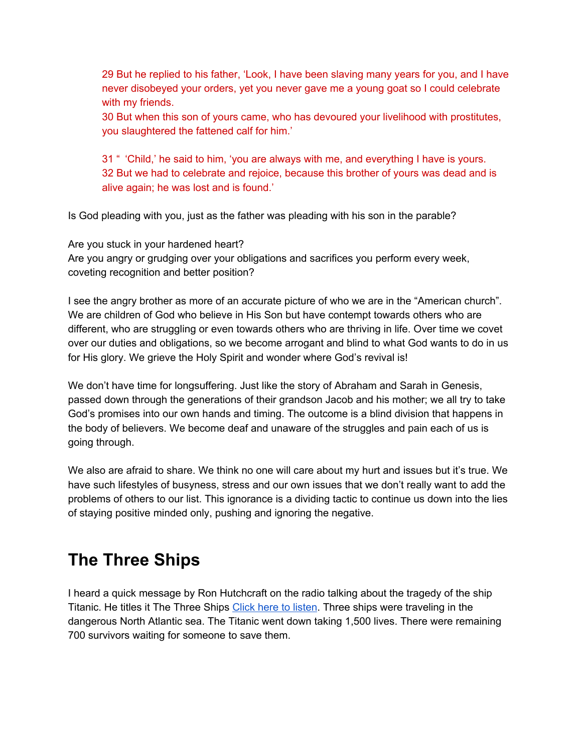29 But he replied to his father, 'Look, I have been slaving many years for you, and I have never disobeyed your orders, yet you never gave me a young goat so I could celebrate with my friends.

30 But when this son of yours came, who has devoured your livelihood with prostitutes, you slaughtered the fattened calf for him.'

31 " 'Child,' he said to him, 'you are always with me, and everything I have is yours. 32 But we had to celebrate and rejoice, because this brother of yours was dead and is alive again; he was lost and is found.'

Is God pleading with you, just as the father was pleading with his son in the parable?

Are you stuck in your hardened heart? Are you angry or grudging over your obligations and sacrifices you perform every week, coveting recognition and better position?

I see the angry brother as more of an accurate picture of who we are in the "American church". We are children of God who believe in His Son but have contempt towards others who are different, who are struggling or even towards others who are thriving in life. Over time we covet over our duties and obligations, so we become arrogant and blind to what God wants to do in us for His glory. We grieve the Holy Spirit and wonder where God's revival is!

We don't have time for longsuffering. Just like the story of Abraham and Sarah in Genesis, passed down through the generations of their grandson Jacob and his mother; we all try to take God's promises into our own hands and timing. The outcome is a blind division that happens in the body of believers. We become deaf and unaware of the struggles and pain each of us is going through.

We also are afraid to share. We think no one will care about my hurt and issues but it's true. We have such lifestyles of busyness, stress and our own issues that we don't really want to add the problems of others to our list. This ignorance is a dividing tactic to continue us down into the lies of staying positive minded only, pushing and ignoring the negative.

# **The Three Ships**

I heard a quick message by Ron Hutchcraft on the radio talking about the tragedy of the ship Titanic. He titles it The Three Ships Click here to [listen.](https://hutchcraft.com/a-word-with-you/your-most-important-relationship/the-tale-of-three-ships-7929) Three ships were traveling in the dangerous North Atlantic sea. The Titanic went down taking 1,500 lives. There were remaining 700 survivors waiting for someone to save them.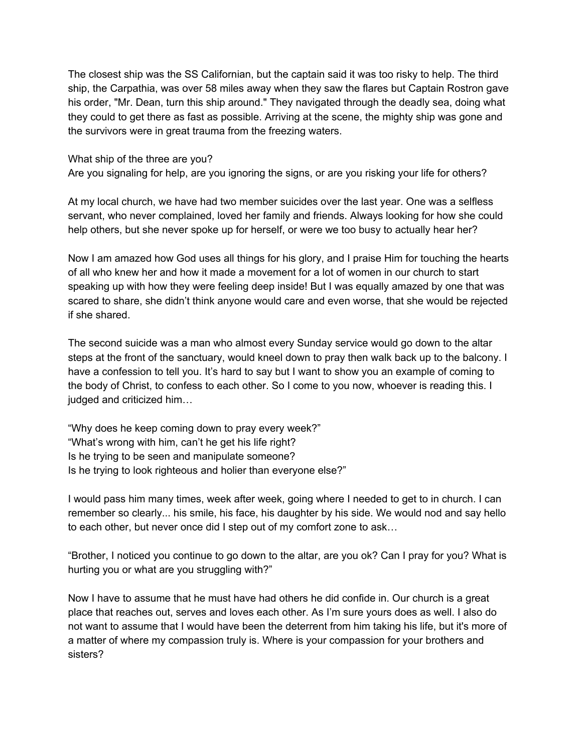The closest ship was the SS Californian, but the captain said it was too risky to help. The third ship, the Carpathia, was over 58 miles away when they saw the flares but Captain Rostron gave his order, "Mr. Dean, turn this ship around." They navigated through the deadly sea, doing what they could to get there as fast as possible. Arriving at the scene, the mighty ship was gone and the survivors were in great trauma from the freezing waters.

What ship of the three are you?

Are you signaling for help, are you ignoring the signs, or are you risking your life for others?

At my local church, we have had two member suicides over the last year. One was a selfless servant, who never complained, loved her family and friends. Always looking for how she could help others, but she never spoke up for herself, or were we too busy to actually hear her?

Now I am amazed how God uses all things for his glory, and I praise Him for touching the hearts of all who knew her and how it made a movement for a lot of women in our church to start speaking up with how they were feeling deep inside! But I was equally amazed by one that was scared to share, she didn't think anyone would care and even worse, that she would be rejected if she shared.

The second suicide was a man who almost every Sunday service would go down to the altar steps at the front of the sanctuary, would kneel down to pray then walk back up to the balcony. I have a confession to tell you. It's hard to say but I want to show you an example of coming to the body of Christ, to confess to each other. So I come to you now, whoever is reading this. I judged and criticized him…

"Why does he keep coming down to pray every week?" "What's wrong with him, can't he get his life right? Is he trying to be seen and manipulate someone? Is he trying to look righteous and holier than everyone else?"

I would pass him many times, week after week, going where I needed to get to in church. I can remember so clearly... his smile, his face, his daughter by his side. We would nod and say hello to each other, but never once did I step out of my comfort zone to ask…

"Brother, I noticed you continue to go down to the altar, are you ok? Can I pray for you? What is hurting you or what are you struggling with?"

Now I have to assume that he must have had others he did confide in. Our church is a great place that reaches out, serves and loves each other. As I'm sure yours does as well. I also do not want to assume that I would have been the deterrent from him taking his life, but it's more of a matter of where my compassion truly is. Where is your compassion for your brothers and sisters?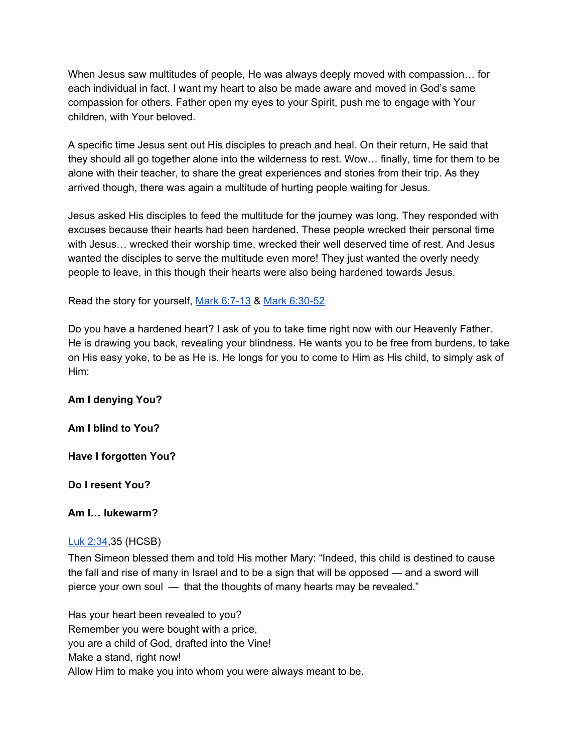When Jesus saw multitudes of people, He was always deeply moved with compassion… for each individual in fact. I want my heart to also be made aware and moved in God's same compassion for others. Father open my eyes to your Spirit, push me to engage with Your children, with Your beloved.

A specific time Jesus sent out His disciples to preach and heal. On their return, He said that they should all go together alone into the wilderness to rest. Wow… finally, time for them to be alone with their teacher, to share the great experiences and stories from their trip. As they arrived though, there was again a multitude of hurting people waiting for Jesus.

Jesus asked His disciples to feed the multitude for the journey was long. They responded with excuses because their hearts had been hardened. These people wrecked their personal time with Jesus… wrecked their worship time, wrecked their well deserved time of rest. And Jesus wanted the disciples to serve the multitude even more! They just wanted the overly needy people to leave, in this though their hearts were also being hardened towards Jesus.

Read the story for yourself, Mark [6:7-13](https://www.blueletterbible.org/hcsb/mar/6/7/s_963007) & Mark [6:30-52](https://www.blueletterbible.org/hcsb/mar/6/30/s_963030)

Do you have a hardened heart? I ask of you to take time right now with our Heavenly Father. He is drawing you back, revealing your blindness. He wants you to be free from burdens, to take on His easy yoke, to be as He is. He longs for you to come to Him as His child, to simply ask of Him:

## **Am I denying You?**

**Am I blind to You?**

## **Have I forgotten You?**

## **Do I resent You?**

#### **Am I… lukewarm?**

#### Luk [2:34,](https://www.blueletterbible.org/hcsb/luk/2/34/s_975034)35 (HCSB)

Then Simeon blessed them and told His mother Mary: "Indeed, this child is destined to cause the fall and rise of many in Israel and to be a sign that will be opposed — and a sword will pierce your own soul — that the thoughts of many hearts may be revealed."

Has your heart been revealed to you? Remember you were bought with a price, you are a child of God, drafted into the Vine! Make a stand, right now! Allow Him to make you into whom you were always meant to be.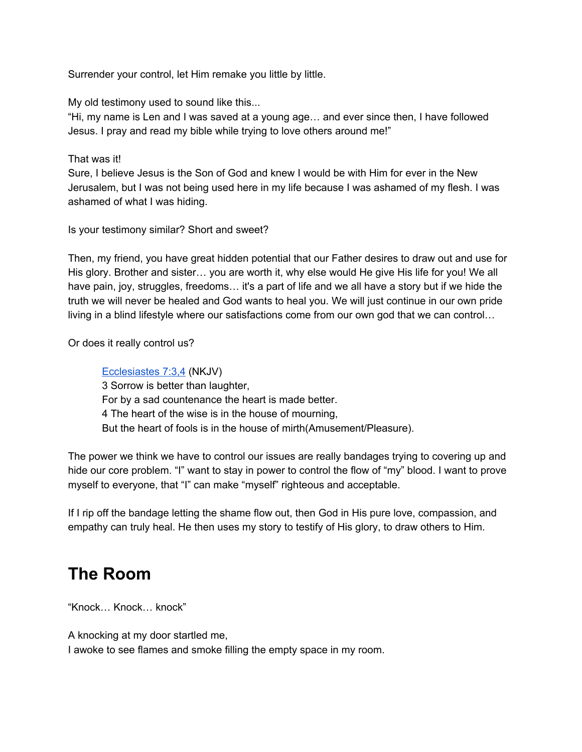Surrender your control, let Him remake you little by little.

My old testimony used to sound like this...

"Hi, my name is Len and I was saved at a young age… and ever since then, I have followed Jesus. I pray and read my bible while trying to love others around me!"

That was it!

Sure, I believe Jesus is the Son of God and knew I would be with Him for ever in the New Jerusalem, but I was not being used here in my life because I was ashamed of my flesh. I was ashamed of what I was hiding.

Is your testimony similar? Short and sweet?

Then, my friend, you have great hidden potential that our Father desires to draw out and use for His glory. Brother and sister… you are worth it, why else would He give His life for you! We all have pain, joy, struggles, freedoms... it's a part of life and we all have a story but if we hide the truth we will never be healed and God wants to heal you. We will just continue in our own pride living in a blind lifestyle where our satisfactions come from our own god that we can control…

Or does it really control us?

[Ecclesiastes](https://www.blueletterbible.org/nkjv/ecc/7/3/s_666003) 7:3,4 (NKJV) 3 Sorrow is better than laughter, For by a sad countenance the heart is made better. 4 The heart of the wise is in the house of mourning, But the heart of fools is in the house of mirth(Amusement/Pleasure).

The power we think we have to control our issues are really bandages trying to covering up and hide our core problem. "I" want to stay in power to control the flow of "my" blood. I want to prove myself to everyone, that "I" can make "myself" righteous and acceptable.

If I rip off the bandage letting the shame flow out, then God in His pure love, compassion, and empathy can truly heal. He then uses my story to testify of His glory, to draw others to Him.

## **The Room**

"Knock… Knock… knock"

A knocking at my door startled me,

I awoke to see flames and smoke filling the empty space in my room.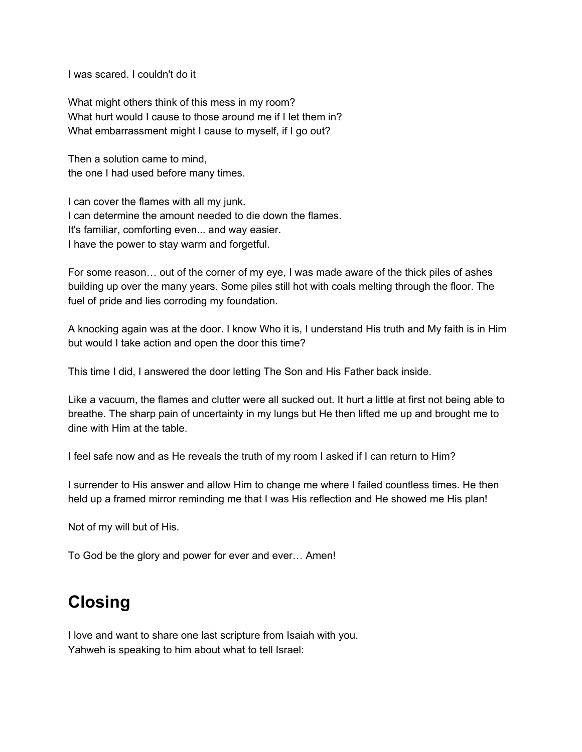I was scared. I couldn't do it

What might others think of this mess in my room? What hurt would I cause to those around me if I let them in? What embarrassment might I cause to myself, if I go out?

Then a solution came to mind, the one I had used before many times.

I can cover the flames with all my junk. I can determine the amount needed to die down the flames. It's familiar, comforting even... and way easier. I have the power to stay warm and forgetful.

For some reason… out of the corner of my eye, I was made aware of the thick piles of ashes building up over the many years. Some piles still hot with coals melting through the floor. The fuel of pride and lies corroding my foundation.

A knocking again was at the door. I know Who it is, I understand His truth and My faith is in Him but would I take action and open the door this time?

This time I did, I answered the door letting The Son and His Father back inside.

Like a vacuum, the flames and clutter were all sucked out. It hurt a little at first not being able to breathe. The sharp pain of uncertainty in my lungs but He then lifted me up and brought me to dine with Him at the table.

I feel safe now and as He reveals the truth of my room I asked if I can return to Him?

I surrender to His answer and allow Him to change me where I failed countless times. He then held up a framed mirror reminding me that I was His reflection and He showed me His plan!

Not of my will but of His.

To God be the glory and power for ever and ever… Amen!

## **Closing**

I love and want to share one last scripture from Isaiah with you. Yahweh is speaking to him about what to tell Israel: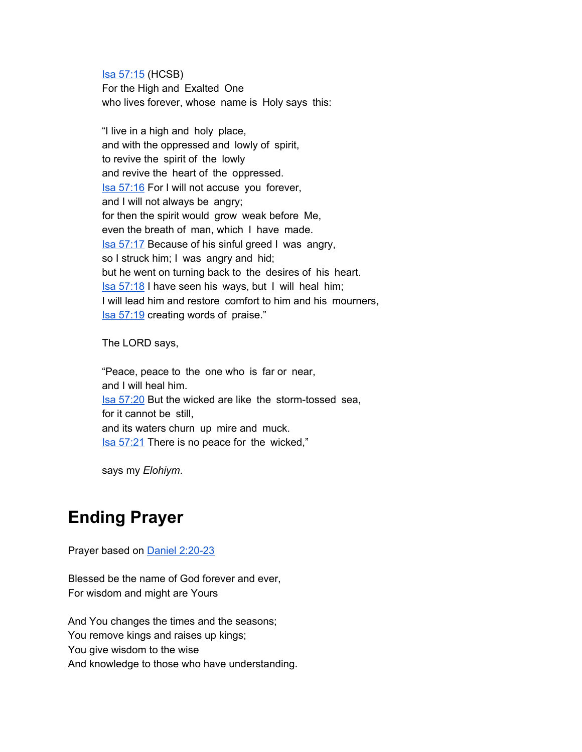Isa [57:15](https://www.blueletterbible.org/hcsb/isa/57/15/s_736015) (HCSB) For the High and Exalted One who lives forever, whose name is Holy says this:

"I live in a high and holy place, and with the oppressed and lowly of spirit, to revive the spirit of the lowly and revive the heart of the oppressed. Isa [57:16](https://www.blueletterbible.org/hcsb/isa/57/16/s_736016) For I will not accuse you forever, and I will not always be angry; for then the spirit would grow weak before Me, even the breath of man, which I have made. Isa [57:17](https://www.blueletterbible.org/hcsb/isa/57/17/s_736017) Because of his sinful greed I was angry, so I struck him; I was angry and hid; but he went on turning back to the desires of his heart. Isa [57:18](https://www.blueletterbible.org/hcsb/isa/57/18/s_736018) I have seen his ways, but I will heal him; I will lead him and restore comfort to him and his mourners, Isa [57:19](https://www.blueletterbible.org/hcsb/isa/57/19/s_736019) creating words of praise."

The LORD says,

"Peace, peace to the one who is far or near, and I will heal him. Isa [57:20](https://www.blueletterbible.org/hcsb/isa/57/20/s_736020) But the wicked are like the storm-tossed sea, for it cannot be still, and its waters churn up mire and muck. Isa [57:21](https://www.blueletterbible.org/hcsb/isa/57/21/s_736021) There is no peace for the wicked,"

says my *Elohiym*.

## **Ending Prayer**

Prayer based on Daniel [2:20-23](https://www.blueletterbible.org/nkjv/dan/2/20/s_852020)

Blessed be the name of God forever and ever, For wisdom and might are Yours

And You changes the times and the seasons; You remove kings and raises up kings; You give wisdom to the wise And knowledge to those who have understanding.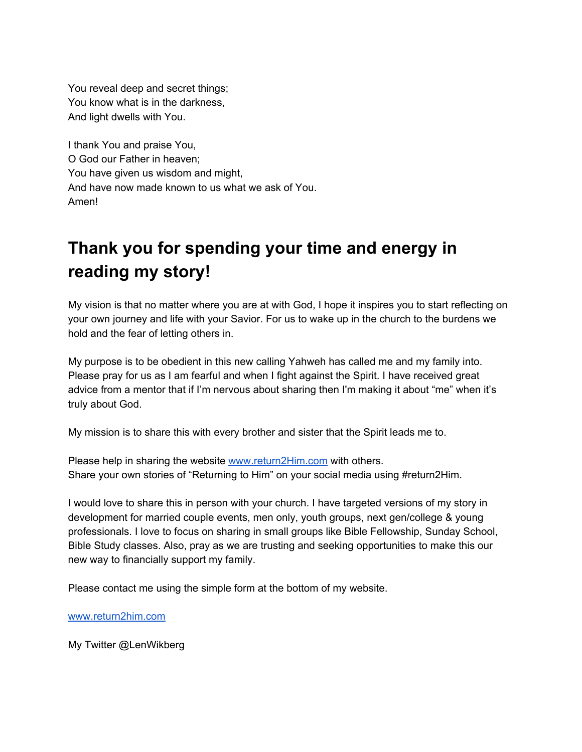You reveal deep and secret things; You know what is in the darkness, And light dwells with You.

I thank You and praise You, O God our Father in heaven; You have given us wisdom and might, And have now made known to us what we ask of You. Amen!

# **Thank you for spending your time and energy in reading my story!**

My vision is that no matter where you are at with God, I hope it inspires you to start reflecting on your own journey and life with your Savior. For us to wake up in the church to the burdens we hold and the fear of letting others in.

My purpose is to be obedient in this new calling Yahweh has called me and my family into. Please pray for us as I am fearful and when I fight against the Spirit. I have received great advice from a mentor that if I'm nervous about sharing then I'm making it about "me" when it's truly about God.

My mission is to share this with every brother and sister that the Spirit leads me to.

Please help in sharing the website [www.return2Him.com](http://www.return2him.com/) with others. Share your own stories of "Returning to Him" on your social media using #return2Him.

I would love to share this in person with your church. I have targeted versions of my story in development for married couple events, men only, youth groups, next gen/college & young professionals. I love to focus on sharing in small groups like Bible Fellowship, Sunday School, Bible Study classes. Also, pray as we are trusting and seeking opportunities to make this our new way to financially support my family.

Please contact me using the simple form at the bottom of my website.

[www.return2him.com](http://www.return2him.com/)

My Twitter @LenWikberg